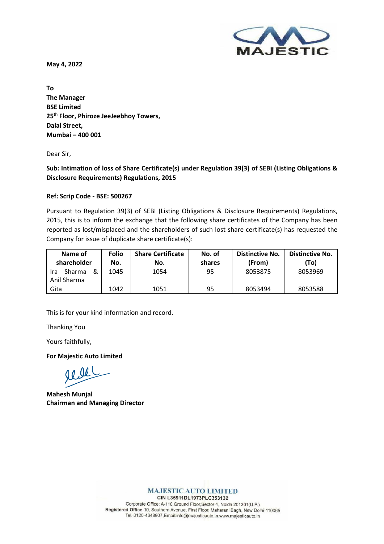**May 4, 2022**



**To The Manager BSE Limited 25th Floor, Phiroze JeeJeebhoy Towers, Dalal Street, Mumbai – 400 001**

Dear Sir,

**Sub: Intimation of loss of Share Certificate(s) under Regulation 39(3) of SEBI (Listing Obligations & Disclosure Requirements) Regulations, 2015**

## **Ref: Scrip Code - BSE: 500267**

Pursuant to Regulation 39(3) of SEBI (Listing Obligations & Disclosure Requirements) Regulations, 2015, this is to inform the exchange that the following share certificates of the Company has been reported as lost/misplaced and the shareholders of such lost share certificate(s) has requested the Company for issue of duplicate share certificate(s):

| Name of<br>shareholder                   | <b>Folio</b><br>No. | <b>Share Certificate</b><br>No. | No. of<br>shares | Distinctive No.<br>(From) | <b>Distinctive No.</b><br>(To) |
|------------------------------------------|---------------------|---------------------------------|------------------|---------------------------|--------------------------------|
| &<br><b>Sharma</b><br>Ira<br>Anil Sharma | 1045                | 1054                            | 95               | 8053875                   | 8053969                        |
| Gita                                     | 1042                | 1051                            | 95               | 8053494                   | 8053588                        |

This is for your kind information and record.

Thanking You

Yours faithfully,

**For Majestic Auto Limited**

acel

**Mahesh Munjal Chairman and Managing Director**

**MAJESTIC AUTO LIMITED** CIN L35911DL1973PLC353132

Corporate Office: A-110, Ground Floor, Sector 4, Noida 201301(U.P.) Registered Office-10, Southern Avenue, First Floor, Maharani Bagh, New Delhi-110065 Tel.:0120-4348907,Email:info@majesticauto.in,www.majesticauto.in